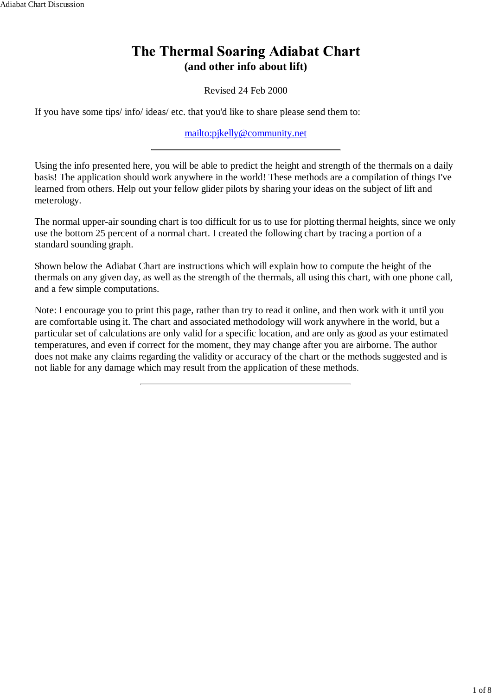#### **The Thermal Soaring Adiabat Chart (and other info about lift)**

Revised 24 Feb 2000

If you have some tips/ info/ ideas/ etc. that you'd like to share please send them to:

mailto:pjkelly@community.net

Using the info presented here, you will be able to predict the height and strength of the thermals on a daily basis! The application should work anywhere in the world! These methods are a compilation of things I've learned from others. Help out your fellow glider pilots by sharing your ideas on the subject of lift and meterology.

The normal upper-air sounding chart is too difficult for us to use for plotting thermal heights, since we only use the bottom 25 percent of a normal chart. I created the following chart by tracing a portion of a standard sounding graph.

Shown below the Adiabat Chart are instructions which will explain how to compute the height of the thermals on any given day, as well as the strength of the thermals, all using this chart, with one phone call, and a few simple computations.

Note: I encourage you to print this page, rather than try to read it online, and then work with it until you are comfortable using it. The chart and associated methodology will work anywhere in the world, but a particular set of calculations are only valid for a specific location, and are only as good as your estimated temperatures, and even if correct for the moment, they may change after you are airborne. The author does not make any claims regarding the validity or accuracy of the chart or the methods suggested and is not liable for any damage which may result from the application of these methods.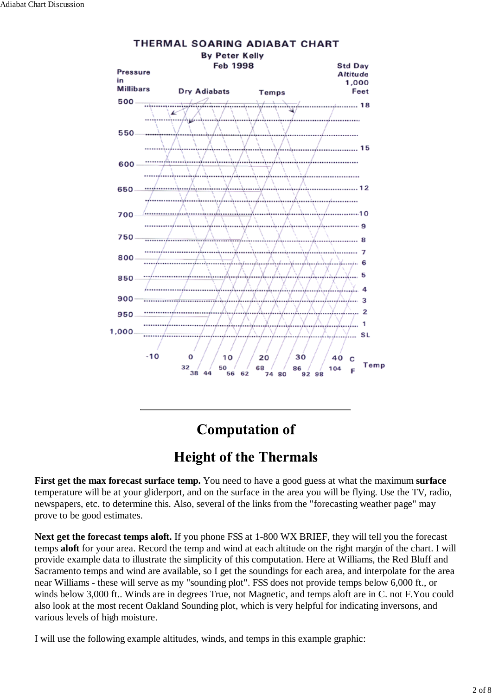

# **Computation of**

# **Height of the Thermals**

**First get the max forecast surface temp.** You need to have a good guess at what the maximum **surface** temperature will be at your gliderport, and on the surface in the area you will be flying. Use the TV, radio, newspapers, etc. to determine this. Also, several of the links from the "forecasting weather page" may prove to be good estimates.

**Next get the forecast temps aloft.** If you phone FSS at 1-800 WX BRIEF, they will tell you the forecast temps **aloft** for your area. Record the temp and wind at each altitude on the right margin of the chart. I will provide example data to illustrate the simplicity of this computation. Here at Williams, the Red Bluff and Sacramento temps and wind are available, so I get the soundings for each area, and interpolate for the area near Williams - these will serve as my "sounding plot". FSS does not provide temps below 6,000 ft., or winds below 3,000 ft.. Winds are in degrees True, not Magnetic, and temps aloft are in C. not F.You could also look at the most recent Oakland Sounding plot, which is very helpful for indicating inversons, and various levels of high moisture.

I will use the following example altitudes, winds, and temps in this example graphic: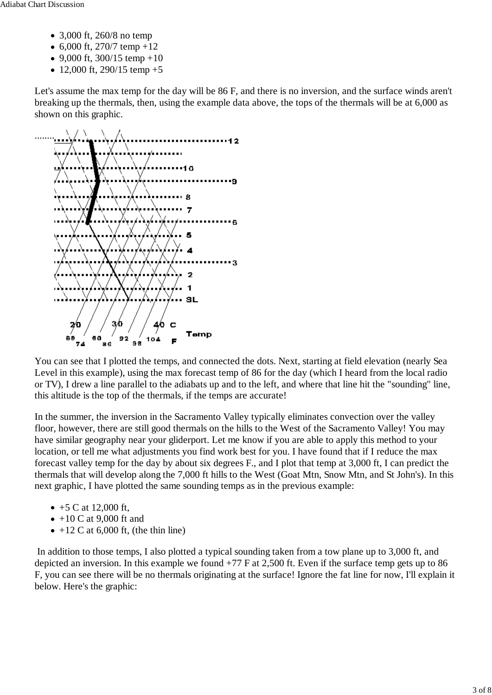- 3,000 ft, 260/8 no temp
- 6,000 ft, 270/7 temp  $+12$
- 9,000 ft,  $300/15$  temp +10
- 12,000 ft, 290/15 temp  $+5$

Let's assume the max temp for the day will be 86 F, and there is no inversion, and the surface winds aren't breaking up the thermals, then, using the example data above, the tops of the thermals will be at 6,000 as shown on this graphic.



You can see that I plotted the temps, and connected the dots. Next, starting at field elevation (nearly Sea Level in this example), using the max forecast temp of 86 for the day (which I heard from the local radio or TV), I drew a line parallel to the adiabats up and to the left, and where that line hit the "sounding" line, this altitude is the top of the thermals, if the temps are accurate!

In the summer, the inversion in the Sacramento Valley typically eliminates convection over the valley floor, however, there are still good thermals on the hills to the West of the Sacramento Valley! You may have similar geography near your gliderport. Let me know if you are able to apply this method to your location, or tell me what adjustments you find work best for you. I have found that if I reduce the max forecast valley temp for the day by about six degrees F., and I plot that temp at 3,000 ft, I can predict the thermals that will develop along the 7,000 ft hills to the West (Goat Mtn, Snow Mtn, and St John's). In this next graphic, I have plotted the same sounding temps as in the previous example:

- $+5$  C at 12,000 ft,
- $\bullet$  +10 C at 9,000 ft and
- $\bullet$  +12 C at 6,000 ft, (the thin line)

 In addition to those temps, I also plotted a typical sounding taken from a tow plane up to 3,000 ft, and depicted an inversion. In this example we found +77 F at 2,500 ft. Even if the surface temp gets up to 86 F, you can see there will be no thermals originating at the surface! Ignore the fat line for now, I'll explain it below. Here's the graphic: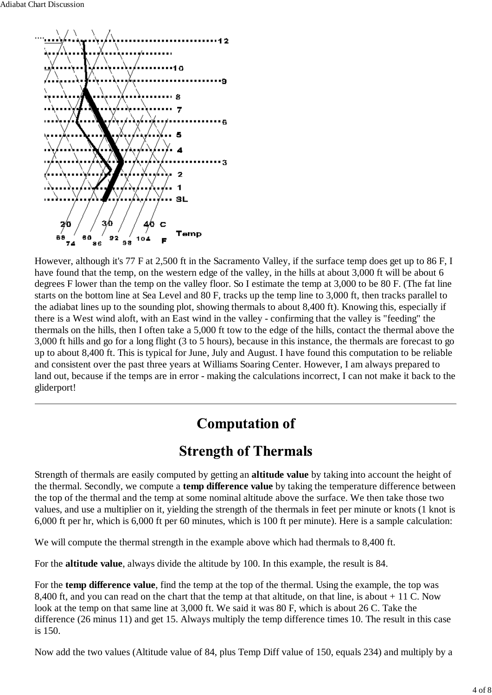

However, although it's 77 F at 2,500 ft in the Sacramento Valley, if the surface temp does get up to 86 F, I have found that the temp, on the western edge of the valley, in the hills at about 3,000 ft will be about 6 degrees F lower than the temp on the valley floor. So I estimate the temp at 3,000 to be 80 F. (The fat line starts on the bottom line at Sea Level and 80 F, tracks up the temp line to 3,000 ft, then tracks parallel to the adiabat lines up to the sounding plot, showing thermals to about 8,400 ft). Knowing this, especially if there is a West wind aloft, with an East wind in the valley - confirming that the valley is "feeding" the thermals on the hills, then I often take a 5,000 ft tow to the edge of the hills, contact the thermal above the 3,000 ft hills and go for a long flight (3 to 5 hours), because in this instance, the thermals are forecast to go up to about 8,400 ft. This is typical for June, July and August. I have found this computation to be reliable and consistent over the past three years at Williams Soaring Center. However, I am always prepared to land out, because if the temps are in error - making the calculations incorrect, I can not make it back to the gliderport!

# **Computation of**

# **Strength of Thermals**

Strength of thermals are easily computed by getting an **altitude value** by taking into account the height of the thermal. Secondly, we compute a **temp difference value** by taking the temperature difference between the top of the thermal and the temp at some nominal altitude above the surface. We then take those two values, and use a multiplier on it, yielding the strength of the thermals in feet per minute or knots (1 knot is 6,000 ft per hr, which is 6,000 ft per 60 minutes, which is 100 ft per minute). Here is a sample calculation:

We will compute the thermal strength in the example above which had thermals to 8,400 ft.

For the **altitude value**, always divide the altitude by 100. In this example, the result is 84.

For the **temp difference value**, find the temp at the top of the thermal. Using the example, the top was 8,400 ft, and you can read on the chart that the temp at that altitude, on that line, is about + 11 C. Now look at the temp on that same line at 3,000 ft. We said it was 80 F, which is about 26 C. Take the difference (26 minus 11) and get 15. Always multiply the temp difference times 10. The result in this case is 150.

Now add the two values (Altitude value of 84, plus Temp Diff value of 150, equals 234) and multiply by a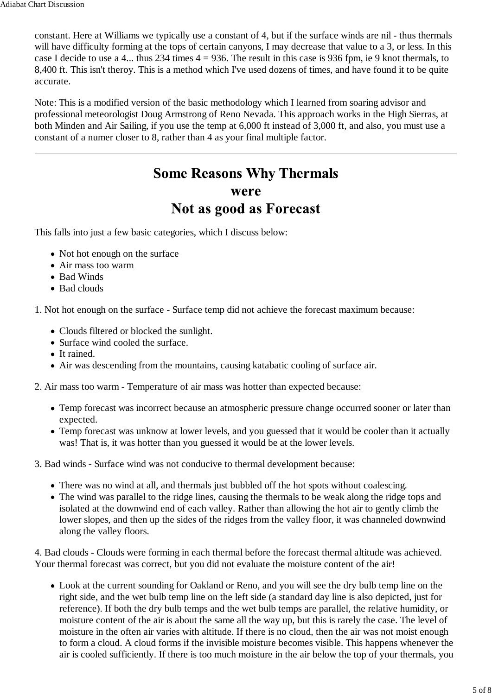constant. Here at Williams we typically use a constant of 4, but if the surface winds are nil - thus thermals will have difficulty forming at the tops of certain canyons, I may decrease that value to a 3, or less. In this case I decide to use a 4... thus 234 times 4 = 936. The result in this case is 936 fpm, ie 9 knot thermals, to 8,400 ft. This isn't theroy. This is a method which I've used dozens of times, and have found it to be quite accurate.

Note: This is a modified version of the basic methodology which I learned from soaring advisor and professional meteorologist Doug Armstrong of Reno Nevada. This approach works in the High Sierras, at both Minden and Air Sailing, if you use the temp at 6,000 ft instead of 3,000 ft, and also, you must use a constant of a numer closer to 8, rather than 4 as your final multiple factor.

# **Some Reasons Why Thermals** were Not as good as Forecast

This falls into just a few basic categories, which I discuss below:

- Not hot enough on the surface
- Air mass too warm
- Bad Winds
- Bad clouds

1. Not hot enough on the surface - Surface temp did not achieve the forecast maximum because:

- Clouds filtered or blocked the sunlight.
- Surface wind cooled the surface.
- It rained.
- Air was descending from the mountains, causing katabatic cooling of surface air.
- 2. Air mass too warm Temperature of air mass was hotter than expected because:
	- Temp forecast was incorrect because an atmospheric pressure change occurred sooner or later than expected.
	- Temp forecast was unknow at lower levels, and you guessed that it would be cooler than it actually was! That is, it was hotter than you guessed it would be at the lower levels.

3. Bad winds - Surface wind was not conducive to thermal development because:

- There was no wind at all, and thermals just bubbled off the hot spots without coalescing.
- The wind was parallel to the ridge lines, causing the thermals to be weak along the ridge tops and isolated at the downwind end of each valley. Rather than allowing the hot air to gently climb the lower slopes, and then up the sides of the ridges from the valley floor, it was channeled downwind along the valley floors.

4. Bad clouds - Clouds were forming in each thermal before the forecast thermal altitude was achieved. Your thermal forecast was correct, but you did not evaluate the moisture content of the air!

Look at the current sounding for Oakland or Reno, and you will see the dry bulb temp line on the right side, and the wet bulb temp line on the left side (a standard day line is also depicted, just for reference). If both the dry bulb temps and the wet bulb temps are parallel, the relative humidity, or moisture content of the air is about the same all the way up, but this is rarely the case. The level of moisture in the often air varies with altitude. If there is no cloud, then the air was not moist enough to form a cloud. A cloud forms if the invisible moisture becomes visible. This happens whenever the air is cooled sufficiently. If there is too much moisture in the air below the top of your thermals, you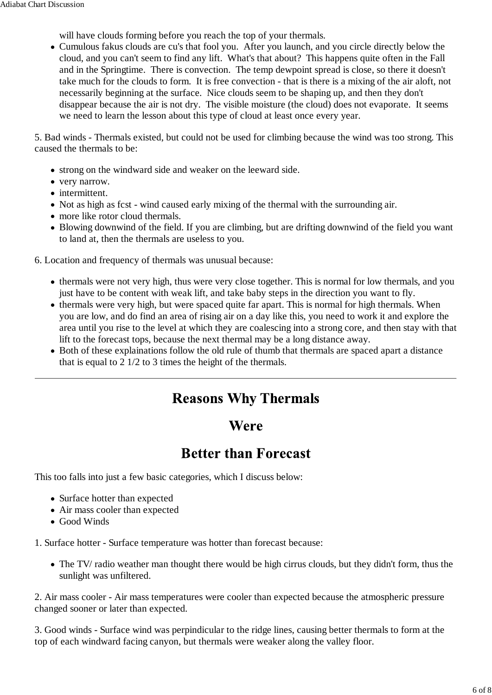will have clouds forming before you reach the top of your thermals.

Cumulous fakus clouds are cu's that fool you. After you launch, and you circle directly below the cloud, and you can't seem to find any lift. What's that about? This happens quite often in the Fall and in the Springtime. There is convection. The temp dewpoint spread is close, so there it doesn't take much for the clouds to form. It is free convection - that is there is a mixing of the air aloft, not necessarily beginning at the surface. Nice clouds seem to be shaping up, and then they don't disappear because the air is not dry. The visible moisture (the cloud) does not evaporate. It seems we need to learn the lesson about this type of cloud at least once every year.

5. Bad winds - Thermals existed, but could not be used for climbing because the wind was too strong. This caused the thermals to be:

- strong on the windward side and weaker on the leeward side.
- very narrow.
- intermittent.
- Not as high as fcst wind caused early mixing of the thermal with the surrounding air.
- more like rotor cloud thermals.
- Blowing downwind of the field. If you are climbing, but are drifting downwind of the field you want to land at, then the thermals are useless to you.

6. Location and frequency of thermals was unusual because:

- thermals were not very high, thus were very close together. This is normal for low thermals, and you just have to be content with weak lift, and take baby steps in the direction you want to fly.
- thermals were very high, but were spaced quite far apart. This is normal for high thermals. When you are low, and do find an area of rising air on a day like this, you need to work it and explore the area until you rise to the level at which they are coalescing into a strong core, and then stay with that lift to the forecast tops, because the next thermal may be a long distance away.
- Both of these explainations follow the old rule of thumb that thermals are spaced apart a distance that is equal to 2 1/2 to 3 times the height of the thermals.

## **Reasons Why Thermals**

#### **Were**

## **Better than Forecast**

This too falls into just a few basic categories, which I discuss below:

- Surface hotter than expected
- Air mass cooler than expected
- Good Winds

1. Surface hotter - Surface temperature was hotter than forecast because:

• The TV/ radio weather man thought there would be high cirrus clouds, but they didn't form, thus the sunlight was unfiltered.

2. Air mass cooler - Air mass temperatures were cooler than expected because the atmospheric pressure changed sooner or later than expected.

3. Good winds - Surface wind was perpindicular to the ridge lines, causing better thermals to form at the top of each windward facing canyon, but thermals were weaker along the valley floor.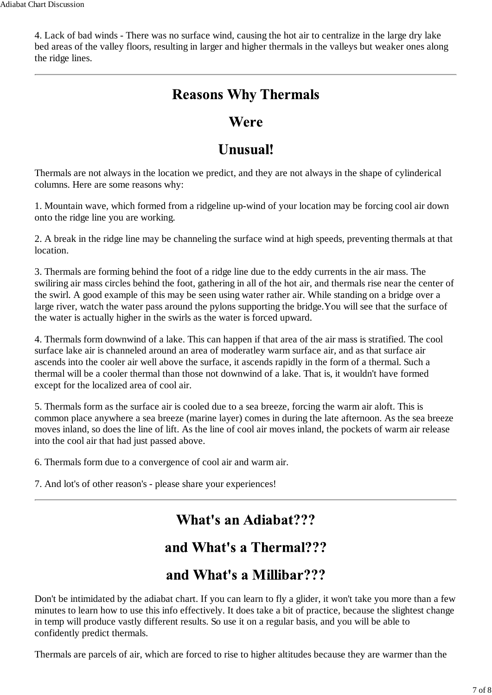4. Lack of bad winds - There was no surface wind, causing the hot air to centralize in the large dry lake bed areas of the valley floors, resulting in larger and higher thermals in the valleys but weaker ones along the ridge lines.

# **Reasons Why Thermals**

#### Were

# Unusual!

Thermals are not always in the location we predict, and they are not always in the shape of cylinderical columns. Here are some reasons why:

1. Mountain wave, which formed from a ridgeline up-wind of your location may be forcing cool air down onto the ridge line you are working.

2. A break in the ridge line may be channeling the surface wind at high speeds, preventing thermals at that location.

3. Thermals are forming behind the foot of a ridge line due to the eddy currents in the air mass. The swiliring air mass circles behind the foot, gathering in all of the hot air, and thermals rise near the center of the swirl. A good example of this may be seen using water rather air. While standing on a bridge over a large river, watch the water pass around the pylons supporting the bridge.You will see that the surface of the water is actually higher in the swirls as the water is forced upward.

4. Thermals form downwind of a lake. This can happen if that area of the air mass is stratified. The cool surface lake air is channeled around an area of moderatley warm surface air, and as that surface air ascends into the cooler air well above the surface, it ascends rapidly in the form of a thermal. Such a thermal will be a cooler thermal than those not downwind of a lake. That is, it wouldn't have formed except for the localized area of cool air.

5. Thermals form as the surface air is cooled due to a sea breeze, forcing the warm air aloft. This is common place anywhere a sea breeze (marine layer) comes in during the late afternoon. As the sea breeze moves inland, so does the line of lift. As the line of cool air moves inland, the pockets of warm air release into the cool air that had just passed above.

6. Thermals form due to a convergence of cool air and warm air.

7. And lot's of other reason's - please share your experiences!

## What's an Adiabat???

# and What's a Thermal???

# and What's a Millibar???

Don't be intimidated by the adiabat chart. If you can learn to fly a glider, it won't take you more than a few minutes to learn how to use this info effectively. It does take a bit of practice, because the slightest change in temp will produce vastly different results. So use it on a regular basis, and you will be able to confidently predict thermals.

Thermals are parcels of air, which are forced to rise to higher altitudes because they are warmer than the